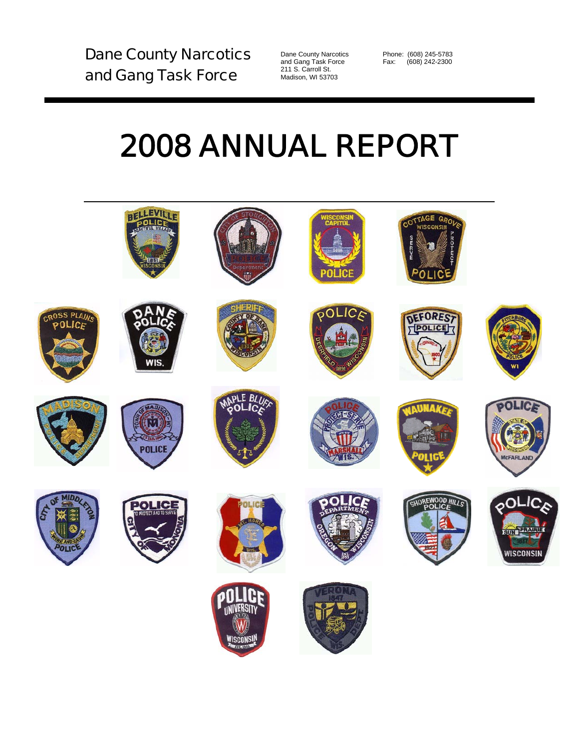Dane County Narcotics and Gang Task Force

Dane County Narcotics Phone: (608) 245-5783<br>and Gang Task Force Fax: (608) 242-2300 211 S. Carroll St. Madison, WI 53703

Fax: (608) 242-2300

# 2008 ANNUAL REPORT

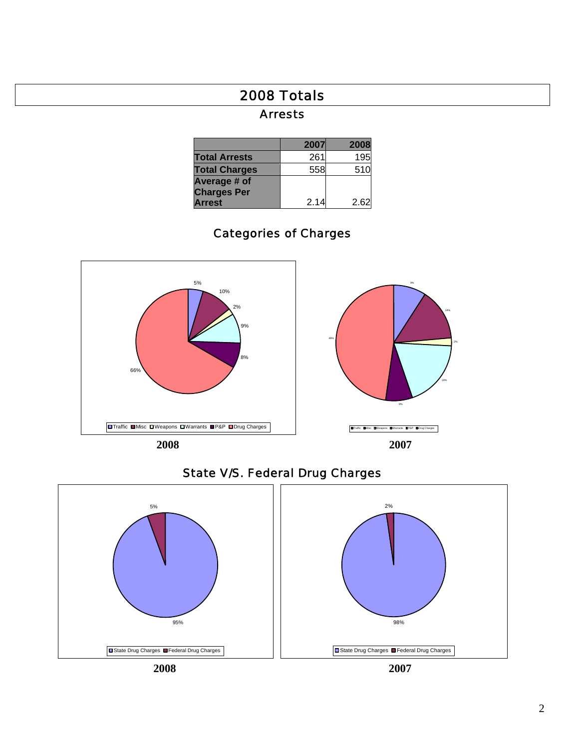# 2008 Totals

### Arrests

|                      | 2007 | 2008 |
|----------------------|------|------|
| <b>Total Arrests</b> | 261  | 195  |
| <b>Total Charges</b> | 558  | 510  |
| Average # of         |      |      |
| <b>Charges Per</b>   |      |      |
| <b>Arrest</b>        | 2.14 | 2.62 |

# Categories of Charges





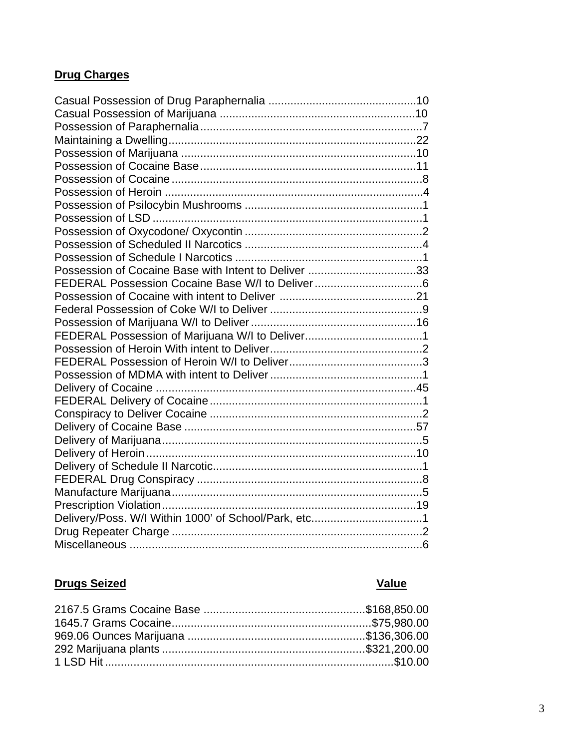### **Drug Charges**

| Possession of Cocaine Base with Intent to Deliver 33 |
|------------------------------------------------------|
|                                                      |
|                                                      |
|                                                      |
|                                                      |
| FEDERAL Possession of Marijuana W/I to Deliver1      |
|                                                      |
|                                                      |
|                                                      |
|                                                      |
|                                                      |
|                                                      |
|                                                      |
|                                                      |
|                                                      |
|                                                      |
|                                                      |
|                                                      |
|                                                      |
|                                                      |
|                                                      |
|                                                      |

## **Drugs Seized Value**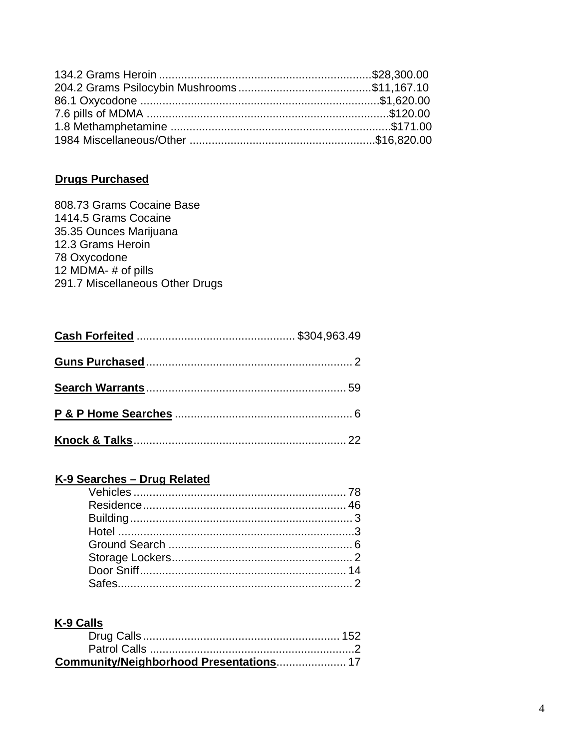## **Drugs Purchased**

| 808.73 Grams Cocaine Base       |
|---------------------------------|
| 1414.5 Grams Cocaine            |
| 35.35 Ounces Marijuana          |
| 12.3 Grams Heroin               |
| 78 Oxycodone                    |
| 12 MDMA-# of pills              |
| 291.7 Miscellaneous Other Drugs |

## K-9 Searches - Drug Related

# K-9 Calls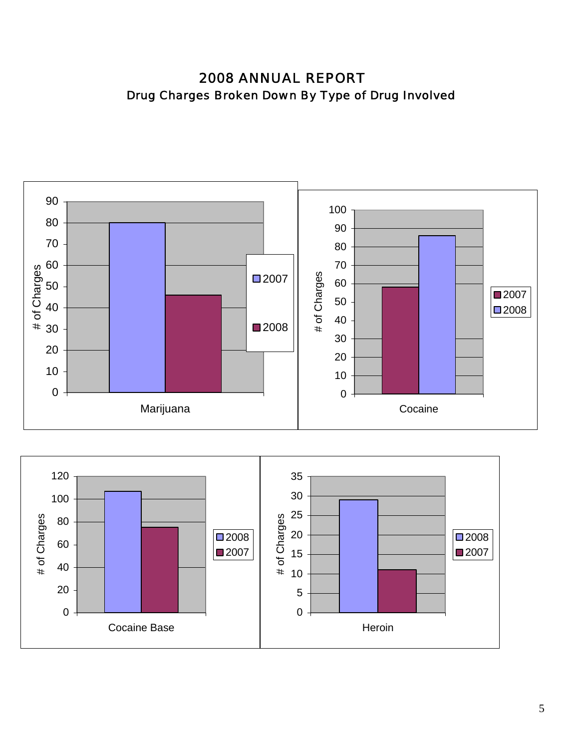2008 ANNUAL REPORT Drug Charges Broken Down By Type of Drug Involved



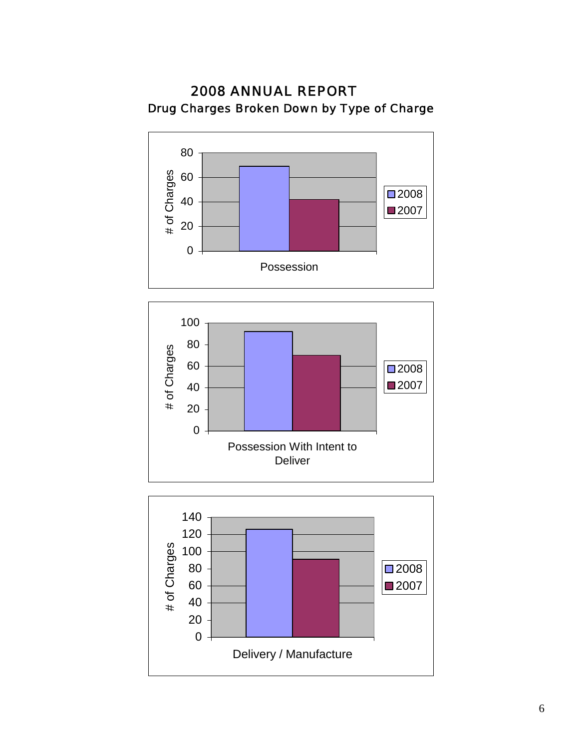





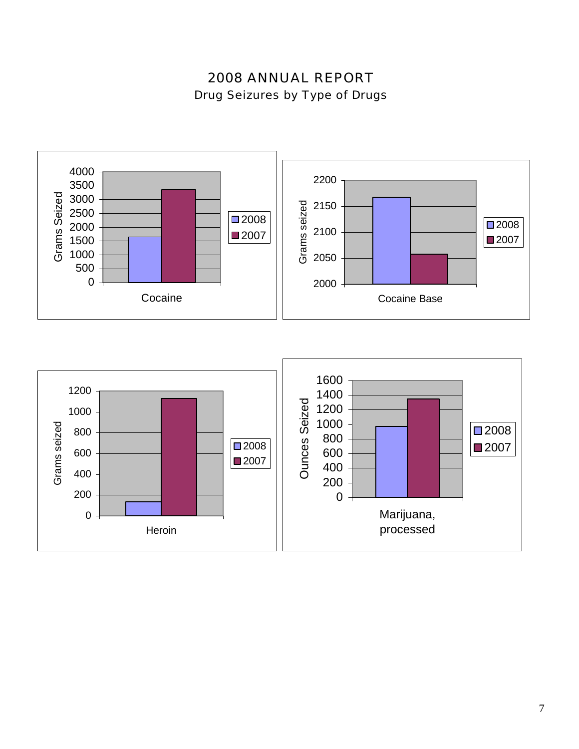# 2008 ANNUAL REPORT Drug Seizures by Type of Drugs